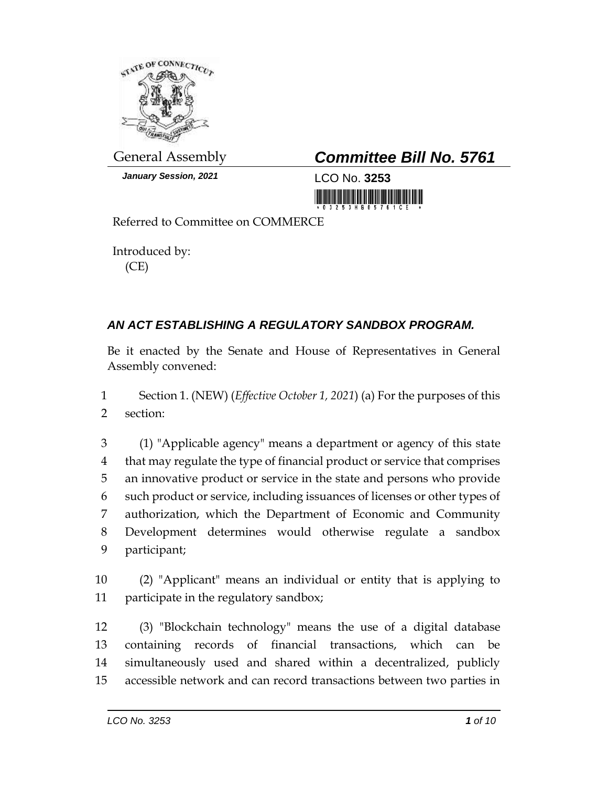

*January Session, 2021* LCO No. **3253**

## General Assembly *Committee Bill No. 5761*

<u> 1999 - Andrew Maria Maria Maria A</u>

Referred to Committee on COMMERCE

Introduced by: (CE)

## *AN ACT ESTABLISHING A REGULATORY SANDBOX PROGRAM.*

Be it enacted by the Senate and House of Representatives in General Assembly convened:

1 Section 1. (NEW) (*Effective October 1, 2021*) (a) For the purposes of this 2 section:

 (1) "Applicable agency" means a department or agency of this state that may regulate the type of financial product or service that comprises an innovative product or service in the state and persons who provide such product or service, including issuances of licenses or other types of authorization, which the Department of Economic and Community Development determines would otherwise regulate a sandbox participant;

10 (2) "Applicant" means an individual or entity that is applying to 11 participate in the regulatory sandbox;

 (3) "Blockchain technology" means the use of a digital database containing records of financial transactions, which can be simultaneously used and shared within a decentralized, publicly accessible network and can record transactions between two parties in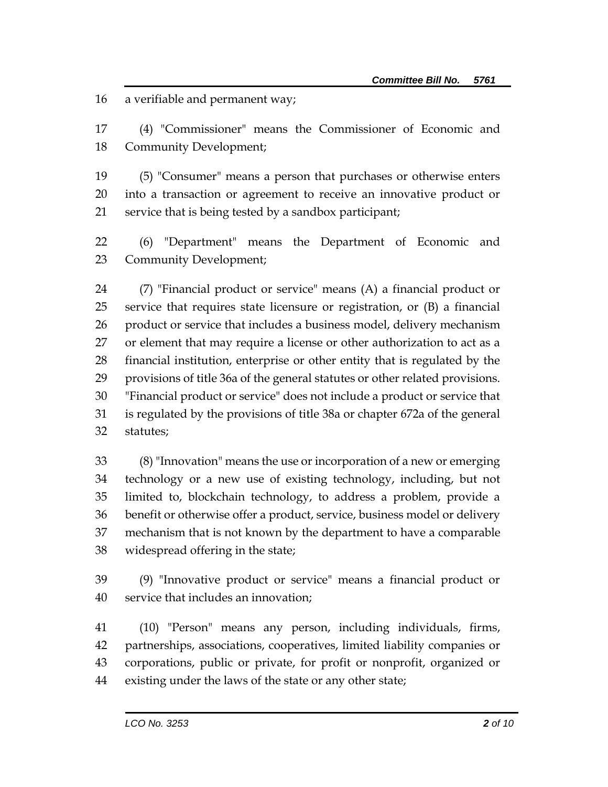a verifiable and permanent way;

 (4) "Commissioner" means the Commissioner of Economic and Community Development;

 (5) "Consumer" means a person that purchases or otherwise enters into a transaction or agreement to receive an innovative product or service that is being tested by a sandbox participant;

 (6) "Department" means the Department of Economic and Community Development;

 (7) "Financial product or service" means (A) a financial product or service that requires state licensure or registration, or (B) a financial product or service that includes a business model, delivery mechanism or element that may require a license or other authorization to act as a financial institution, enterprise or other entity that is regulated by the provisions of title 36a of the general statutes or other related provisions. "Financial product or service" does not include a product or service that is regulated by the provisions of title 38a or chapter 672a of the general statutes;

 (8) "Innovation" means the use or incorporation of a new or emerging technology or a new use of existing technology, including, but not limited to, blockchain technology, to address a problem, provide a benefit or otherwise offer a product, service, business model or delivery mechanism that is not known by the department to have a comparable widespread offering in the state;

 (9) "Innovative product or service" means a financial product or service that includes an innovation;

 (10) "Person" means any person, including individuals, firms, partnerships, associations, cooperatives, limited liability companies or corporations, public or private, for profit or nonprofit, organized or existing under the laws of the state or any other state;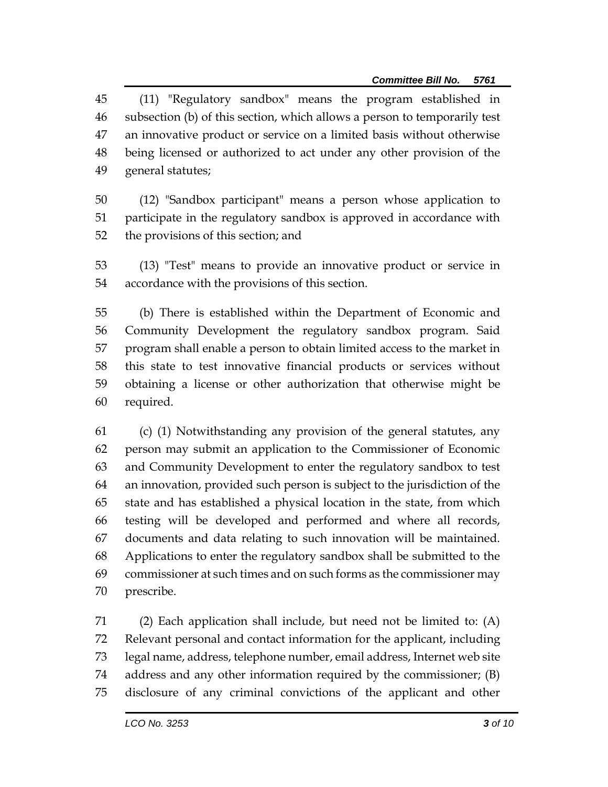(11) "Regulatory sandbox" means the program established in subsection (b) of this section, which allows a person to temporarily test an innovative product or service on a limited basis without otherwise being licensed or authorized to act under any other provision of the general statutes;

- (12) "Sandbox participant" means a person whose application to participate in the regulatory sandbox is approved in accordance with the provisions of this section; and
- (13) "Test" means to provide an innovative product or service in accordance with the provisions of this section.

 (b) There is established within the Department of Economic and Community Development the regulatory sandbox program. Said program shall enable a person to obtain limited access to the market in this state to test innovative financial products or services without obtaining a license or other authorization that otherwise might be required.

 (c) (1) Notwithstanding any provision of the general statutes, any person may submit an application to the Commissioner of Economic and Community Development to enter the regulatory sandbox to test an innovation, provided such person is subject to the jurisdiction of the state and has established a physical location in the state, from which testing will be developed and performed and where all records, documents and data relating to such innovation will be maintained. Applications to enter the regulatory sandbox shall be submitted to the commissioner at such times and on such forms as the commissioner may prescribe.

 (2) Each application shall include, but need not be limited to: (A) Relevant personal and contact information for the applicant, including legal name, address, telephone number, email address, Internet web site address and any other information required by the commissioner; (B) disclosure of any criminal convictions of the applicant and other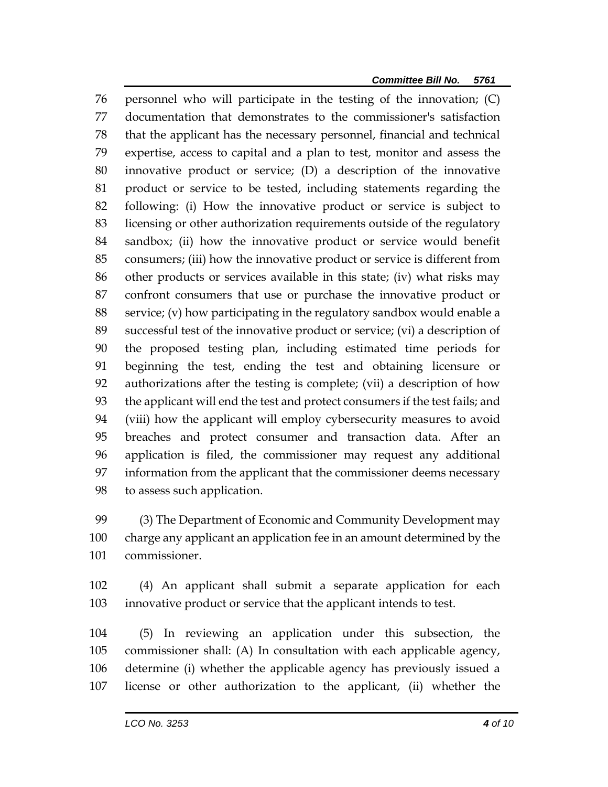personnel who will participate in the testing of the innovation; (C) documentation that demonstrates to the commissioner's satisfaction that the applicant has the necessary personnel, financial and technical expertise, access to capital and a plan to test, monitor and assess the innovative product or service; (D) a description of the innovative product or service to be tested, including statements regarding the following: (i) How the innovative product or service is subject to licensing or other authorization requirements outside of the regulatory sandbox; (ii) how the innovative product or service would benefit consumers; (iii) how the innovative product or service is different from other products or services available in this state; (iv) what risks may confront consumers that use or purchase the innovative product or service; (v) how participating in the regulatory sandbox would enable a successful test of the innovative product or service; (vi) a description of the proposed testing plan, including estimated time periods for beginning the test, ending the test and obtaining licensure or authorizations after the testing is complete; (vii) a description of how the applicant will end the test and protect consumers if the test fails; and (viii) how the applicant will employ cybersecurity measures to avoid breaches and protect consumer and transaction data. After an application is filed, the commissioner may request any additional information from the applicant that the commissioner deems necessary to assess such application.

 (3) The Department of Economic and Community Development may charge any applicant an application fee in an amount determined by the commissioner.

 (4) An applicant shall submit a separate application for each innovative product or service that the applicant intends to test.

 (5) In reviewing an application under this subsection, the commissioner shall: (A) In consultation with each applicable agency, determine (i) whether the applicable agency has previously issued a license or other authorization to the applicant, (ii) whether the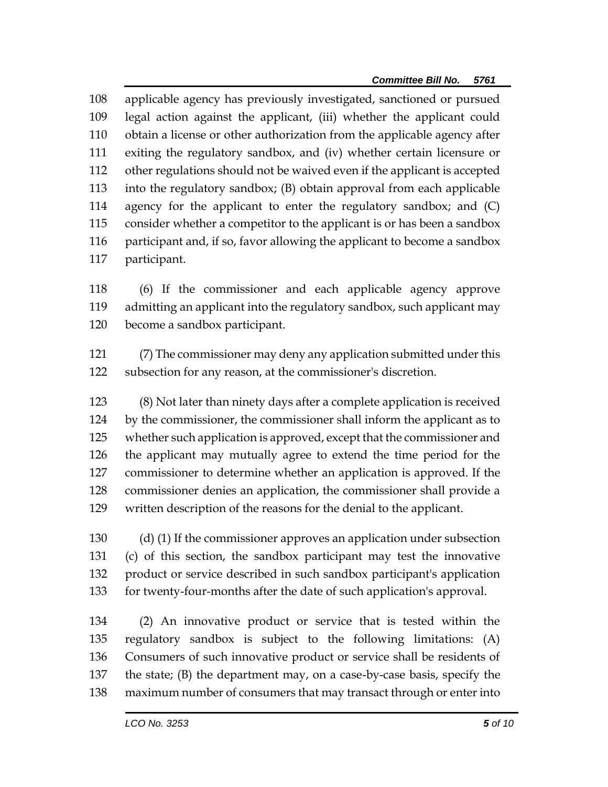applicable agency has previously investigated, sanctioned or pursued legal action against the applicant, (iii) whether the applicant could obtain a license or other authorization from the applicable agency after exiting the regulatory sandbox, and (iv) whether certain licensure or other regulations should not be waived even if the applicant is accepted into the regulatory sandbox; (B) obtain approval from each applicable agency for the applicant to enter the regulatory sandbox; and (C) consider whether a competitor to the applicant is or has been a sandbox 116 participant and, if so, favor allowing the applicant to become a sandbox participant.

 (6) If the commissioner and each applicable agency approve admitting an applicant into the regulatory sandbox, such applicant may become a sandbox participant.

 (7) The commissioner may deny any application submitted under this subsection for any reason, at the commissioner's discretion.

 (8) Not later than ninety days after a complete application is received by the commissioner, the commissioner shall inform the applicant as to whether such application is approved, except that the commissioner and the applicant may mutually agree to extend the time period for the commissioner to determine whether an application is approved. If the commissioner denies an application, the commissioner shall provide a written description of the reasons for the denial to the applicant.

 (d) (1) If the commissioner approves an application under subsection (c) of this section, the sandbox participant may test the innovative product or service described in such sandbox participant's application for twenty-four-months after the date of such application's approval.

 (2) An innovative product or service that is tested within the regulatory sandbox is subject to the following limitations: (A) Consumers of such innovative product or service shall be residents of the state; (B) the department may, on a case-by-case basis, specify the maximum number of consumers that may transact through or enter into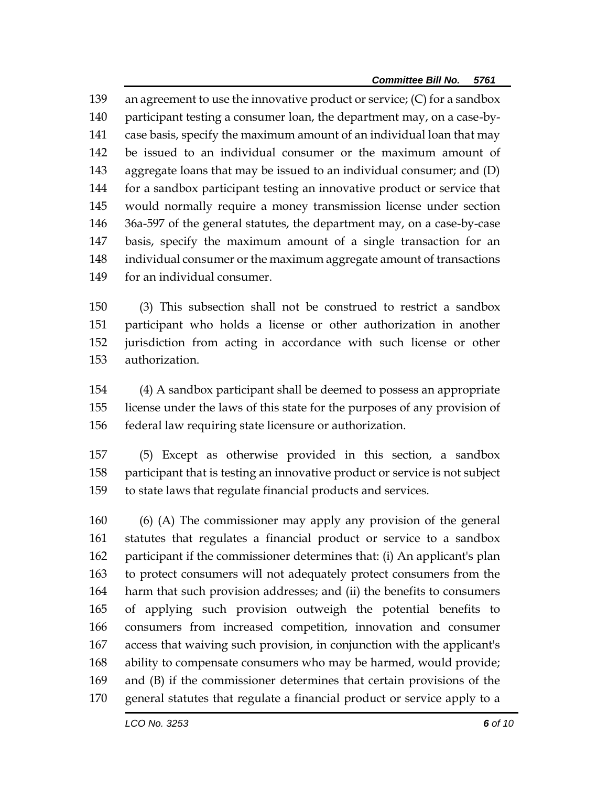an agreement to use the innovative product or service; (C) for a sandbox participant testing a consumer loan, the department may, on a case-by- case basis, specify the maximum amount of an individual loan that may be issued to an individual consumer or the maximum amount of aggregate loans that may be issued to an individual consumer; and (D) for a sandbox participant testing an innovative product or service that would normally require a money transmission license under section 36a-597 of the general statutes, the department may, on a case-by-case basis, specify the maximum amount of a single transaction for an individual consumer or the maximum aggregate amount of transactions for an individual consumer.

 (3) This subsection shall not be construed to restrict a sandbox participant who holds a license or other authorization in another jurisdiction from acting in accordance with such license or other authorization.

 (4) A sandbox participant shall be deemed to possess an appropriate license under the laws of this state for the purposes of any provision of federal law requiring state licensure or authorization.

 (5) Except as otherwise provided in this section, a sandbox participant that is testing an innovative product or service is not subject to state laws that regulate financial products and services.

 (6) (A) The commissioner may apply any provision of the general statutes that regulates a financial product or service to a sandbox participant if the commissioner determines that: (i) An applicant's plan to protect consumers will not adequately protect consumers from the harm that such provision addresses; and (ii) the benefits to consumers of applying such provision outweigh the potential benefits to consumers from increased competition, innovation and consumer access that waiving such provision, in conjunction with the applicant's ability to compensate consumers who may be harmed, would provide; and (B) if the commissioner determines that certain provisions of the general statutes that regulate a financial product or service apply to a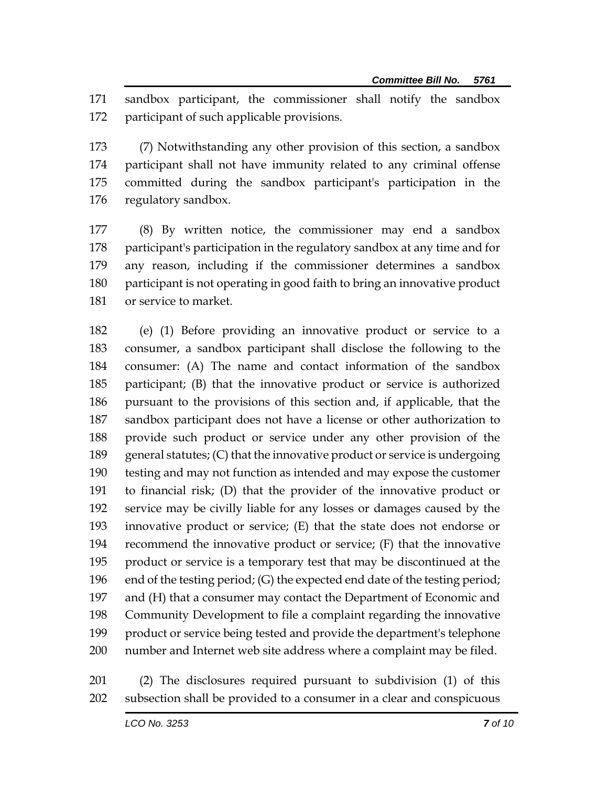sandbox participant, the commissioner shall notify the sandbox participant of such applicable provisions.

 (7) Notwithstanding any other provision of this section, a sandbox participant shall not have immunity related to any criminal offense committed during the sandbox participant's participation in the regulatory sandbox.

 (8) By written notice, the commissioner may end a sandbox participant's participation in the regulatory sandbox at any time and for any reason, including if the commissioner determines a sandbox participant is not operating in good faith to bring an innovative product or service to market.

 (e) (1) Before providing an innovative product or service to a consumer, a sandbox participant shall disclose the following to the consumer: (A) The name and contact information of the sandbox participant; (B) that the innovative product or service is authorized pursuant to the provisions of this section and, if applicable, that the sandbox participant does not have a license or other authorization to provide such product or service under any other provision of the general statutes; (C) that the innovative product or service is undergoing testing and may not function as intended and may expose the customer to financial risk; (D) that the provider of the innovative product or service may be civilly liable for any losses or damages caused by the innovative product or service; (E) that the state does not endorse or recommend the innovative product or service; (F) that the innovative product or service is a temporary test that may be discontinued at the end of the testing period; (G) the expected end date of the testing period; and (H) that a consumer may contact the Department of Economic and Community Development to file a complaint regarding the innovative product or service being tested and provide the department's telephone number and Internet web site address where a complaint may be filed.

 (2) The disclosures required pursuant to subdivision (1) of this subsection shall be provided to a consumer in a clear and conspicuous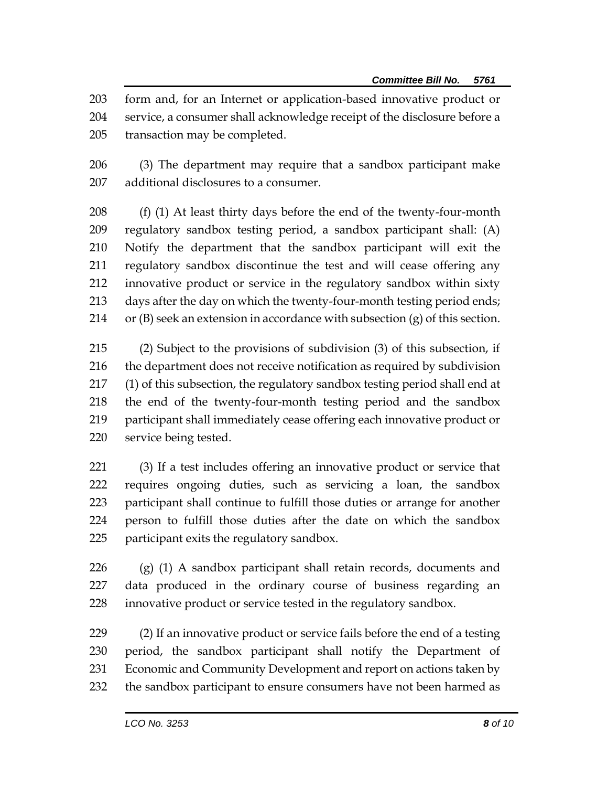form and, for an Internet or application-based innovative product or service, a consumer shall acknowledge receipt of the disclosure before a transaction may be completed.

 (3) The department may require that a sandbox participant make additional disclosures to a consumer.

 (f) (1) At least thirty days before the end of the twenty-four-month regulatory sandbox testing period, a sandbox participant shall: (A) Notify the department that the sandbox participant will exit the regulatory sandbox discontinue the test and will cease offering any innovative product or service in the regulatory sandbox within sixty 213 days after the day on which the twenty-four-month testing period ends; 214 or  $(B)$  seek an extension in accordance with subsection  $(g)$  of this section.

 (2) Subject to the provisions of subdivision (3) of this subsection, if the department does not receive notification as required by subdivision (1) of this subsection, the regulatory sandbox testing period shall end at the end of the twenty-four-month testing period and the sandbox participant shall immediately cease offering each innovative product or service being tested.

 (3) If a test includes offering an innovative product or service that requires ongoing duties, such as servicing a loan, the sandbox participant shall continue to fulfill those duties or arrange for another person to fulfill those duties after the date on which the sandbox participant exits the regulatory sandbox.

 (g) (1) A sandbox participant shall retain records, documents and data produced in the ordinary course of business regarding an innovative product or service tested in the regulatory sandbox.

 (2) If an innovative product or service fails before the end of a testing period, the sandbox participant shall notify the Department of Economic and Community Development and report on actions taken by the sandbox participant to ensure consumers have not been harmed as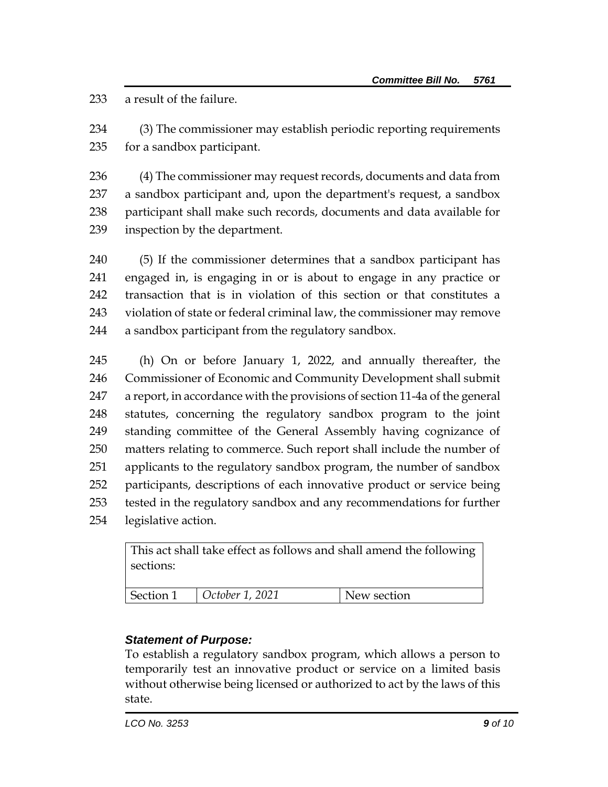a result of the failure.

 (3) The commissioner may establish periodic reporting requirements for a sandbox participant.

 (4) The commissioner may request records, documents and data from a sandbox participant and, upon the department's request, a sandbox participant shall make such records, documents and data available for inspection by the department.

 (5) If the commissioner determines that a sandbox participant has engaged in, is engaging in or is about to engage in any practice or transaction that is in violation of this section or that constitutes a violation of state or federal criminal law, the commissioner may remove a sandbox participant from the regulatory sandbox.

 (h) On or before January 1, 2022, and annually thereafter, the Commissioner of Economic and Community Development shall submit a report, in accordance with the provisions of section 11-4a of the general statutes, concerning the regulatory sandbox program to the joint standing committee of the General Assembly having cognizance of matters relating to commerce. Such report shall include the number of applicants to the regulatory sandbox program, the number of sandbox participants, descriptions of each innovative product or service being tested in the regulatory sandbox and any recommendations for further legislative action.

| This act shall take effect as follows and shall amend the following<br>sections: |                 |             |
|----------------------------------------------------------------------------------|-----------------|-------------|
| Section 1                                                                        | October 1, 2021 | New section |

## *Statement of Purpose:*

To establish a regulatory sandbox program, which allows a person to temporarily test an innovative product or service on a limited basis without otherwise being licensed or authorized to act by the laws of this state.